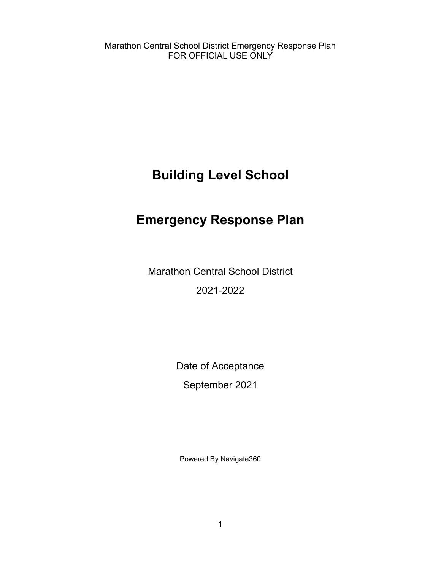<span id="page-0-1"></span>**Building Level School**

## <span id="page-0-0"></span>**Emergency Response Plan**

Marathon Central School District 2021-2022

Date of Acceptance

September 2021

Powered By Navigate360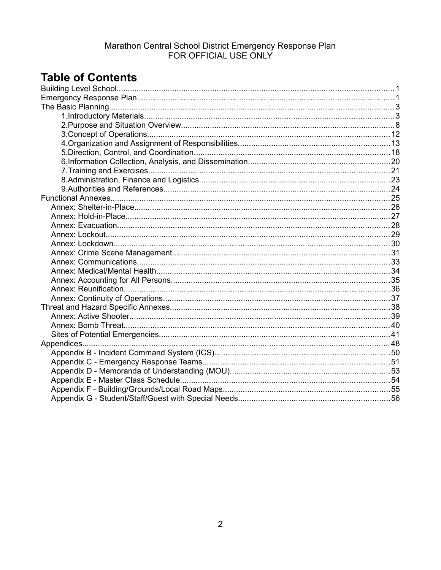## **Table of Contents**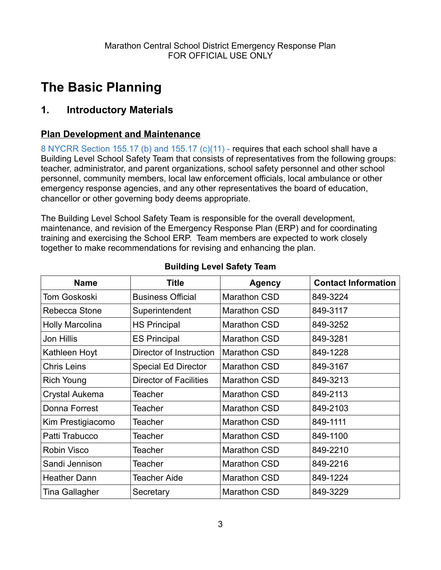## <span id="page-2-1"></span>**The Basic Planning**

### <span id="page-2-0"></span>**1. Introductory Materials**

### **Plan Development and Maintenance**

8 NYCRR Section 155.17 (b) and 155.17 (c)(11) - requires that each school shall have a Building Level School Safety Team that consists of representatives from the following groups: teacher, administrator, and parent organizations, school safety personnel and other school personnel, community members, local law enforcement officials, local ambulance or other emergency response agencies, and any other representatives the board of education, chancellor or other governing body deems appropriate.

The Building Level School Safety Team is responsible for the overall development, maintenance, and revision of the Emergency Response Plan (ERP) and for coordinating training and exercising the School ERP. Team members are expected to work closely together to make recommendations for revising and enhancing the plan.

| <b>Name</b>            | <b>Title</b>                  | <b>Agency</b>       | <b>Contact Information</b> |
|------------------------|-------------------------------|---------------------|----------------------------|
| Tom Goskoski           | <b>Business Official</b>      | <b>Marathon CSD</b> | 849-3224                   |
| Rebecca Stone          | Superintendent                | <b>Marathon CSD</b> | 849-3117                   |
| <b>Holly Marcolina</b> | <b>HS Principal</b>           | <b>Marathon CSD</b> | 849-3252                   |
| Jon Hillis             | <b>ES Principal</b>           | <b>Marathon CSD</b> | 849-3281                   |
| Kathleen Hoyt          | Director of Instruction       | <b>Marathon CSD</b> | 849-1228                   |
| <b>Chris Leins</b>     | <b>Special Ed Director</b>    | <b>Marathon CSD</b> | 849-3167                   |
| Rich Young             | <b>Director of Facilities</b> | <b>Marathon CSD</b> | 849-3213                   |
| Crystal Aukema         | Teacher                       | <b>Marathon CSD</b> | 849-2113                   |
| Donna Forrest          | Teacher                       | <b>Marathon CSD</b> | 849-2103                   |
| Kim Prestigiacomo      | Teacher                       | <b>Marathon CSD</b> | 849-1111                   |
| Patti Trabucco         | Teacher                       | <b>Marathon CSD</b> | 849-1100                   |
| <b>Robin Visco</b>     | Teacher                       | <b>Marathon CSD</b> | 849-2210                   |
| Sandi Jennison         | Teacher                       | <b>Marathon CSD</b> | 849-2216                   |
| <b>Heather Dann</b>    | Teacher Aide                  | <b>Marathon CSD</b> | 849-1224                   |
| Tina Gallagher         | Secretary                     | <b>Marathon CSD</b> | 849-3229                   |

#### **Building Level Safety Team**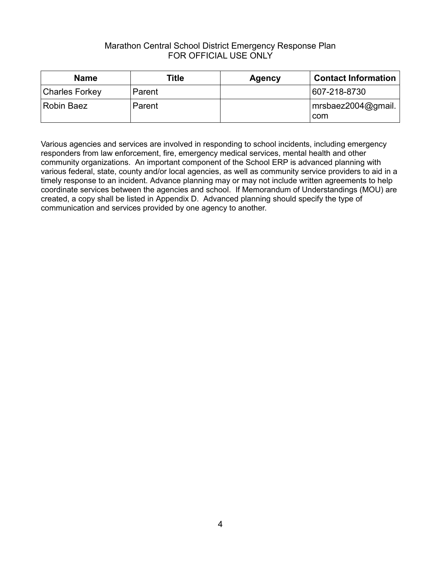| <b>Name</b>           | Title  | <b>Agency</b> | <b>Contact Information</b> |
|-----------------------|--------|---------------|----------------------------|
| <b>Charles Forkey</b> | Parent |               | 607-218-8730               |
| Robin Baez            | Parent |               | mrsbaez2004@gmail.<br>com  |

Various agencies and services are involved in responding to school incidents, including emergency responders from law enforcement, fire, emergency medical services, mental health and other community organizations. An important component of the School ERP is advanced planning with various federal, state, county and/or local agencies, as well as community service providers to aid in a timely response to an incident. Advance planning may or may not include written agreements to help coordinate services between the agencies and school. If Memorandum of Understandings (MOU) are created, a copy shall be listed in Appendix D. Advanced planning should specify the type of communication and services provided by one agency to another.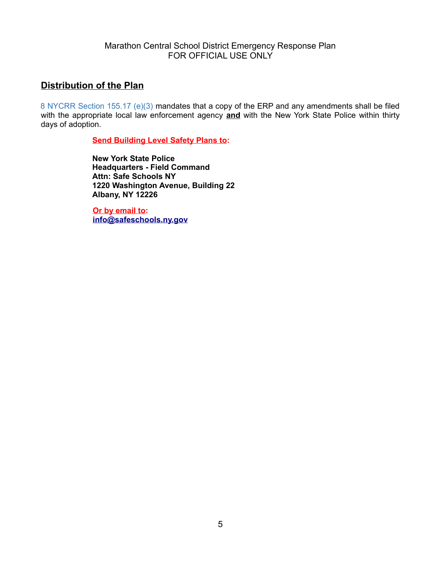#### **Distribution of the Plan**

8 NYCRR Section 155.17 (e)(3) mandates that a copy of the ERP and any amendments shall be filed with the appropriate local law enforcement agency **and** with the New York State Police within thirty days of adoption.

**Send Building Level Safety Plans to:**

**New York State Police Headquarters - Field Command Attn: Safe Schools NY 1220 Washington Avenue, Building 22 Albany, NY 12226**

**Or by email to: [info@safeschools.ny.gov](mailto:info@safeschools.ny.gov)**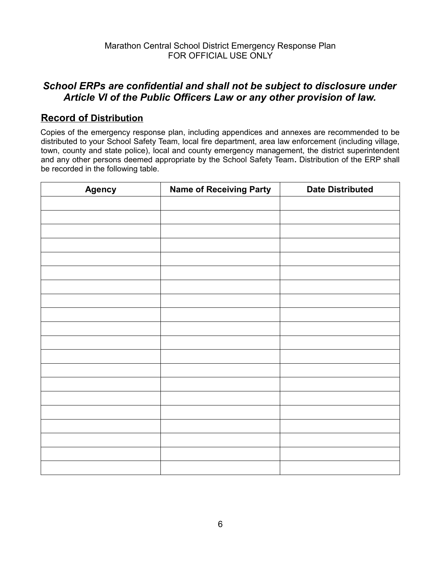### *School ERPs are confidential and shall not be subject to disclosure under Article VI of the Public Officers Law or any other provision of law.*

### **Record of Distribution**

Copies of the emergency response plan, including appendices and annexes are recommended to be distributed to your School Safety Team, local fire department, area law enforcement (including village, town, county and state police), local and county emergency management, the district superintendent and any other persons deemed appropriate by the School Safety Team**.** Distribution of the ERP shall be recorded in the following table.

| <b>Agency</b> | <b>Name of Receiving Party</b> | <b>Date Distributed</b> |  |  |
|---------------|--------------------------------|-------------------------|--|--|
|               |                                |                         |  |  |
|               |                                |                         |  |  |
|               |                                |                         |  |  |
|               |                                |                         |  |  |
|               |                                |                         |  |  |
|               |                                |                         |  |  |
|               |                                |                         |  |  |
|               |                                |                         |  |  |
|               |                                |                         |  |  |
|               |                                |                         |  |  |
|               |                                |                         |  |  |
|               |                                |                         |  |  |
|               |                                |                         |  |  |
|               |                                |                         |  |  |
|               |                                |                         |  |  |
|               |                                |                         |  |  |
|               |                                |                         |  |  |
|               |                                |                         |  |  |
|               |                                |                         |  |  |
|               |                                |                         |  |  |
|               |                                |                         |  |  |
|               |                                |                         |  |  |
|               |                                |                         |  |  |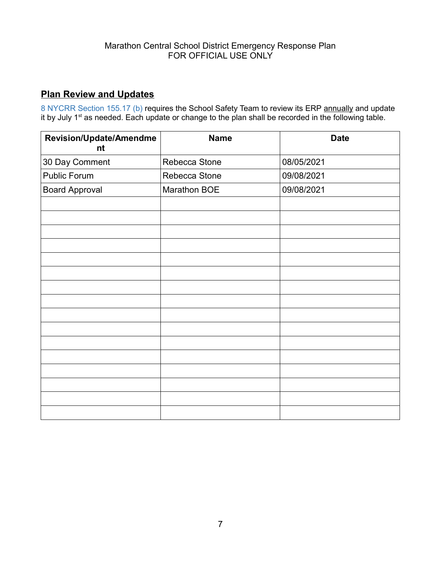### **Plan Review and Updates**

8 NYCRR Section 155.17 (b) requires the School Safety Team to review its ERP annually and update it by July 1<sup>st</sup> as needed. Each update or change to the plan shall be recorded in the following table.

| Revision/Update/Amendme<br>nt | <b>Name</b>   | <b>Date</b> |
|-------------------------------|---------------|-------------|
| 30 Day Comment                | Rebecca Stone | 08/05/2021  |
| Public Forum                  | Rebecca Stone | 09/08/2021  |
| <b>Board Approval</b>         | Marathon BOE  | 09/08/2021  |
|                               |               |             |
|                               |               |             |
|                               |               |             |
|                               |               |             |
|                               |               |             |
|                               |               |             |
|                               |               |             |
|                               |               |             |
|                               |               |             |
|                               |               |             |
|                               |               |             |
|                               |               |             |
|                               |               |             |
|                               |               |             |
|                               |               |             |
|                               |               |             |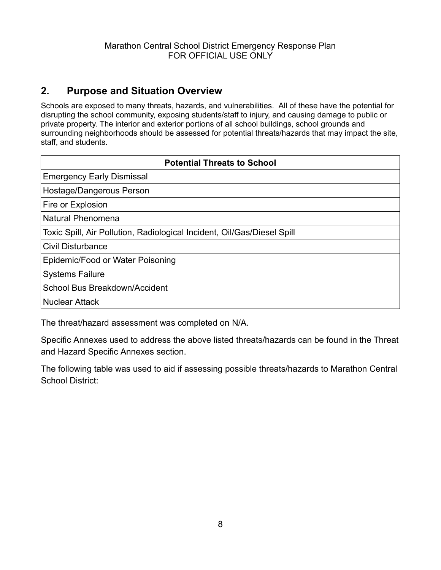### <span id="page-7-0"></span>**2. Purpose and Situation Overview**

Schools are exposed to many threats, hazards, and vulnerabilities. All of these have the potential for disrupting the school community, exposing students/staff to injury, and causing damage to public or private property. The interior and exterior portions of all school buildings, school grounds and surrounding neighborhoods should be assessed for potential threats/hazards that may impact the site, staff, and students.

| <b>Potential Threats to School</b>                                      |  |  |  |  |
|-------------------------------------------------------------------------|--|--|--|--|
| <b>Emergency Early Dismissal</b>                                        |  |  |  |  |
| Hostage/Dangerous Person                                                |  |  |  |  |
| Fire or Explosion                                                       |  |  |  |  |
| Natural Phenomena                                                       |  |  |  |  |
| Toxic Spill, Air Pollution, Radiological Incident, Oil/Gas/Diesel Spill |  |  |  |  |
| <b>Civil Disturbance</b>                                                |  |  |  |  |
| Epidemic/Food or Water Poisoning                                        |  |  |  |  |
| <b>Systems Failure</b>                                                  |  |  |  |  |
| School Bus Breakdown/Accident                                           |  |  |  |  |
| <b>Nuclear Attack</b>                                                   |  |  |  |  |
|                                                                         |  |  |  |  |

The threat/hazard assessment was completed on N/A.

Specific Annexes used to address the above listed threats/hazards can be found in the Threat and Hazard Specific Annexes section.

The following table was used to aid if assessing possible threats/hazards to Marathon Central School District: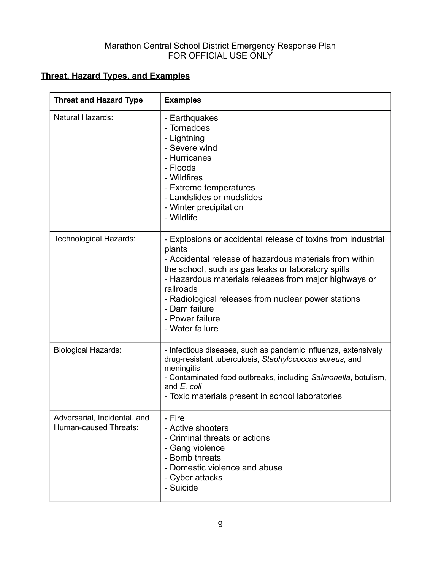### **Threat, Hazard Types, and Examples**

| <b>Threat and Hazard Type</b>                         | <b>Examples</b>                                                                                                                                                                                                                                                                                                                                                             |
|-------------------------------------------------------|-----------------------------------------------------------------------------------------------------------------------------------------------------------------------------------------------------------------------------------------------------------------------------------------------------------------------------------------------------------------------------|
| <b>Natural Hazards:</b>                               | - Earthquakes<br>- Tornadoes<br>- Lightning<br>- Severe wind<br>- Hurricanes<br>- Floods<br>- Wildfires<br>- Extreme temperatures<br>- Landslides or mudslides<br>- Winter precipitation<br>- Wildlife                                                                                                                                                                      |
| Technological Hazards:                                | - Explosions or accidental release of toxins from industrial<br>plants<br>- Accidental release of hazardous materials from within<br>the school, such as gas leaks or laboratory spills<br>- Hazardous materials releases from major highways or<br>railroads<br>- Radiological releases from nuclear power stations<br>- Dam failure<br>- Power failure<br>- Water failure |
| <b>Biological Hazards:</b>                            | - Infectious diseases, such as pandemic influenza, extensively<br>drug-resistant tuberculosis, Staphylococcus aureus, and<br>meningitis<br>- Contaminated food outbreaks, including Salmonella, botulism,<br>and E. coli<br>- Toxic materials present in school laboratories                                                                                                |
| Adversarial, Incidental, and<br>Human-caused Threats: | - Fire<br>- Active shooters<br>- Criminal threats or actions<br>- Gang violence<br>- Bomb threats<br>- Domestic violence and abuse<br>- Cyber attacks<br>- Suicide                                                                                                                                                                                                          |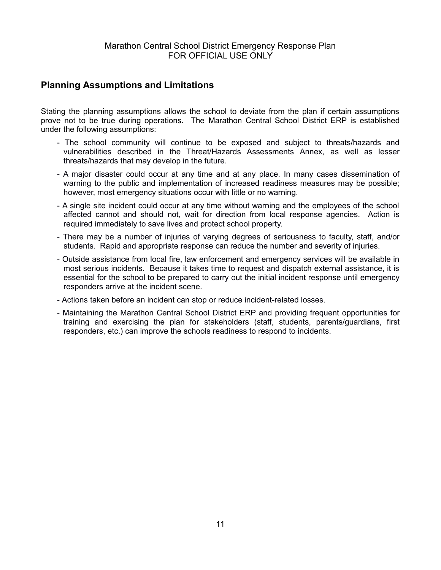#### **Planning Assumptions and Limitations**

Stating the planning assumptions allows the school to deviate from the plan if certain assumptions prove not to be true during operations. The Marathon Central School District ERP is established under the following assumptions:

- The school community will continue to be exposed and subject to threats/hazards and vulnerabilities described in the Threat/Hazards Assessments Annex, as well as lesser threats/hazards that may develop in the future.
- A major disaster could occur at any time and at any place. In many cases dissemination of warning to the public and implementation of increased readiness measures may be possible; however, most emergency situations occur with little or no warning.
- A single site incident could occur at any time without warning and the employees of the school affected cannot and should not, wait for direction from local response agencies. Action is required immediately to save lives and protect school property.
- There may be a number of injuries of varying degrees of seriousness to faculty, staff, and/or students. Rapid and appropriate response can reduce the number and severity of injuries.
- Outside assistance from local fire, law enforcement and emergency services will be available in most serious incidents. Because it takes time to request and dispatch external assistance, it is essential for the school to be prepared to carry out the initial incident response until emergency responders arrive at the incident scene.
- Actions taken before an incident can stop or reduce incident-related losses.
- Maintaining the Marathon Central School District ERP and providing frequent opportunities for training and exercising the plan for stakeholders (staff, students, parents/guardians, first responders, etc.) can improve the schools readiness to respond to incidents.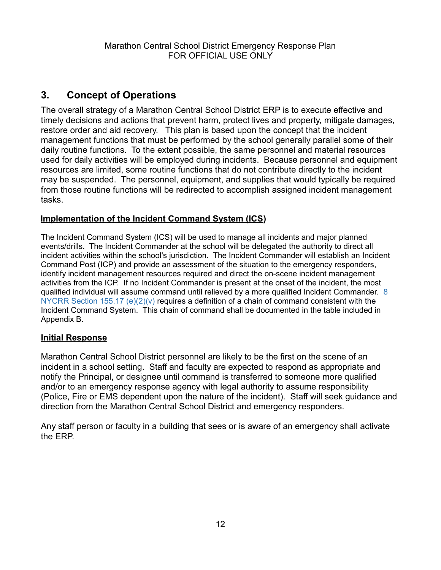### <span id="page-11-0"></span>**3. Concept of Operations**

The overall strategy of a Marathon Central School District ERP is to execute effective and timely decisions and actions that prevent harm, protect lives and property, mitigate damages, restore order and aid recovery. This plan is based upon the concept that the incident management functions that must be performed by the school generally parallel some of their daily routine functions. To the extent possible, the same personnel and material resources used for daily activities will be employed during incidents. Because personnel and equipment resources are limited, some routine functions that do not contribute directly to the incident may be suspended. The personnel, equipment, and supplies that would typically be required from those routine functions will be redirected to accomplish assigned incident management tasks.

#### **Implementation of the Incident Command System (ICS)**

The Incident Command System (ICS) will be used to manage all incidents and major planned events/drills. The Incident Commander at the school will be delegated the authority to direct all incident activities within the school's jurisdiction. The Incident Commander will establish an Incident Command Post (ICP) and provide an assessment of the situation to the emergency responders, identify incident management resources required and direct the on-scene incident management activities from the ICP. If no Incident Commander is present at the onset of the incident, the most qualified individual will assume command until relieved by a more qualified Incident Commander. 8 NYCRR Section 155.17 (e) $(2)(v)$  requires a definition of a chain of command consistent with the Incident Command System. This chain of command shall be documented in the table included in Appendix B.

#### **Initial Response**

Marathon Central School District personnel are likely to be the first on the scene of an incident in a school setting. Staff and faculty are expected to respond as appropriate and notify the Principal, or designee until command is transferred to someone more qualified and/or to an emergency response agency with legal authority to assume responsibility (Police, Fire or EMS dependent upon the nature of the incident). Staff will seek guidance and direction from the Marathon Central School District and emergency responders.

Any staff person or faculty in a building that sees or is aware of an emergency shall activate the ERP.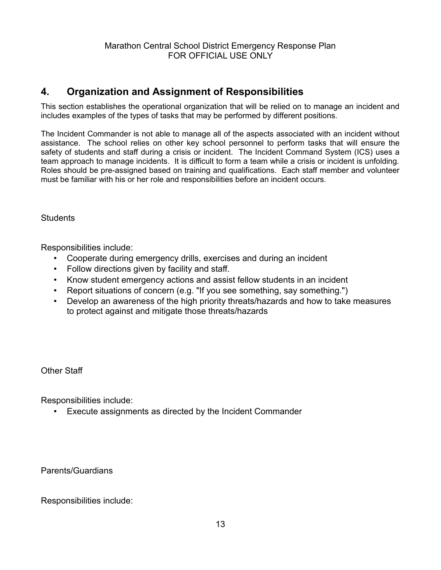### <span id="page-12-0"></span>**4. Organization and Assignment of Responsibilities**

This section establishes the operational organization that will be relied on to manage an incident and includes examples of the types of tasks that may be performed by different positions.

The Incident Commander is not able to manage all of the aspects associated with an incident without assistance. The school relies on other key school personnel to perform tasks that will ensure the safety of students and staff during a crisis or incident. The Incident Command System (ICS) uses a team approach to manage incidents. It is difficult to form a team while a crisis or incident is unfolding. Roles should be pre-assigned based on training and qualifications. Each staff member and volunteer must be familiar with his or her role and responsibilities before an incident occurs.

**Students** 

Responsibilities include:

- Cooperate during emergency drills, exercises and during an incident
- Follow directions given by facility and staff.
- Know student emergency actions and assist fellow students in an incident
- Report situations of concern (e.g. "If you see something, say something.")
- Develop an awareness of the high priority threats/hazards and how to take measures to protect against and mitigate those threats/hazards

Other Staff

Responsibilities include:

Execute assignments as directed by the Incident Commander

Parents/Guardians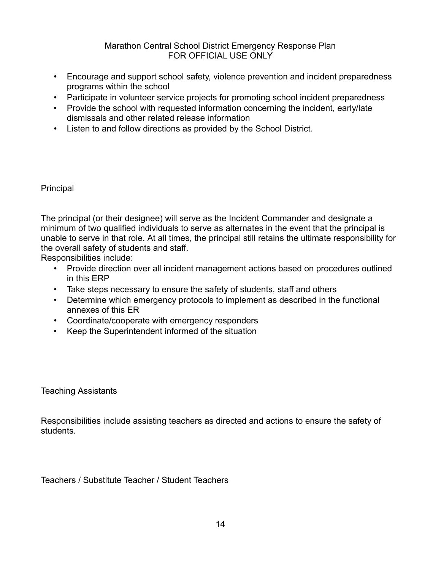- Encourage and support school safety, violence prevention and incident preparedness programs within the school
- Participate in volunteer service projects for promoting school incident preparedness
- Provide the school with requested information concerning the incident, early/late dismissals and other related release information
- Listen to and follow directions as provided by the School District.

#### Principal

The principal (or their designee) will serve as the Incident Commander and designate a minimum of two qualified individuals to serve as alternates in the event that the principal is unable to serve in that role. At all times, the principal still retains the ultimate responsibility for the overall safety of students and staff.

Responsibilities include:

- Provide direction over all incident management actions based on procedures outlined in this ERP
- Take steps necessary to ensure the safety of students, staff and others
- Determine which emergency protocols to implement as described in the functional annexes of this ER
- Coordinate/cooperate with emergency responders
- Keep the Superintendent informed of the situation

Teaching Assistants

Responsibilities include assisting teachers as directed and actions to ensure the safety of students.

Teachers / Substitute Teacher / Student Teachers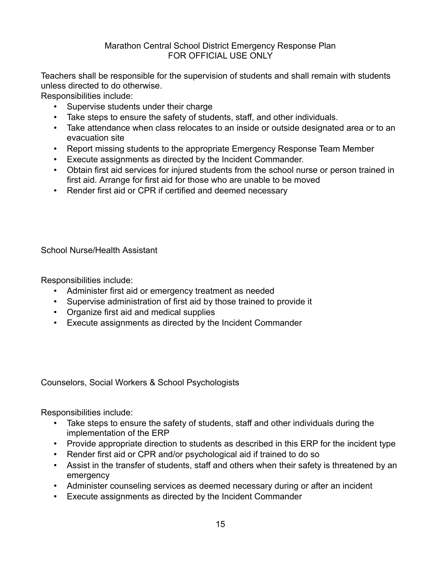Teachers shall be responsible for the supervision of students and shall remain with students unless directed to do otherwise.

Responsibilities include:

- Supervise students under their charge
- Take steps to ensure the safety of students, staff, and other individuals.
- Take attendance when class relocates to an inside or outside designated area or to an evacuation site
- Report missing students to the appropriate Emergency Response Team Member
- Execute assignments as directed by the Incident Commander.
- Obtain first aid services for injured students from the school nurse or person trained in first aid. Arrange for first aid for those who are unable to be moved
- Render first aid or CPR if certified and deemed necessary

School Nurse/Health Assistant

Responsibilities include:

- Administer first aid or emergency treatment as needed
- Supervise administration of first aid by those trained to provide it
- Organize first aid and medical supplies
- Execute assignments as directed by the Incident Commander

Counselors, Social Workers & School Psychologists

- Take steps to ensure the safety of students, staff and other individuals during the implementation of the ERP
- Provide appropriate direction to students as described in this ERP for the incident type
- Render first aid or CPR and/or psychological aid if trained to do so
- Assist in the transfer of students, staff and others when their safety is threatened by an emergency
- Administer counseling services as deemed necessary during or after an incident
- Execute assignments as directed by the Incident Commander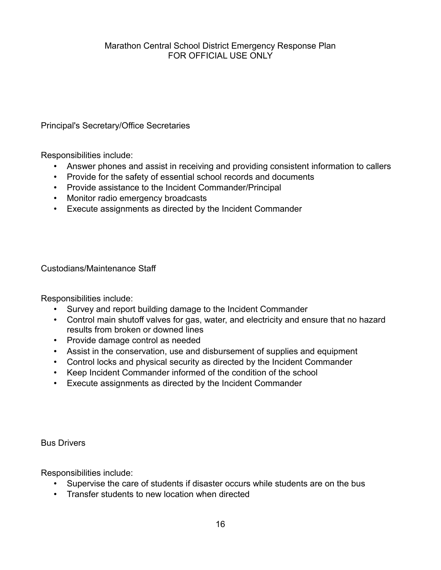Principal's Secretary/Office Secretaries

Responsibilities include:

- Answer phones and assist in receiving and providing consistent information to callers
- Provide for the safety of essential school records and documents
- Provide assistance to the Incident Commander/Principal
- Monitor radio emergency broadcasts
- Execute assignments as directed by the Incident Commander

Custodians/Maintenance Staff

Responsibilities include:

- Survey and report building damage to the Incident Commander
- Control main shutoff valves for gas, water, and electricity and ensure that no hazard results from broken or downed lines
- Provide damage control as needed
- Assist in the conservation, use and disbursement of supplies and equipment
- Control locks and physical security as directed by the Incident Commander
- Keep Incident Commander informed of the condition of the school
- Execute assignments as directed by the Incident Commander

Bus Drivers

- Supervise the care of students if disaster occurs while students are on the bus
- Transfer students to new location when directed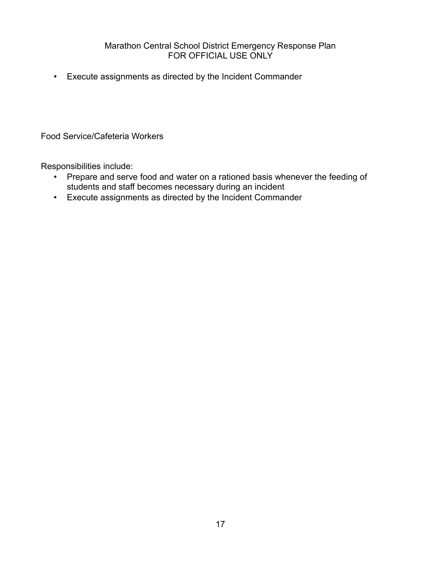Execute assignments as directed by the Incident Commander

Food Service/Cafeteria Workers

- Prepare and serve food and water on a rationed basis whenever the feeding of students and staff becomes necessary during an incident
- Execute assignments as directed by the Incident Commander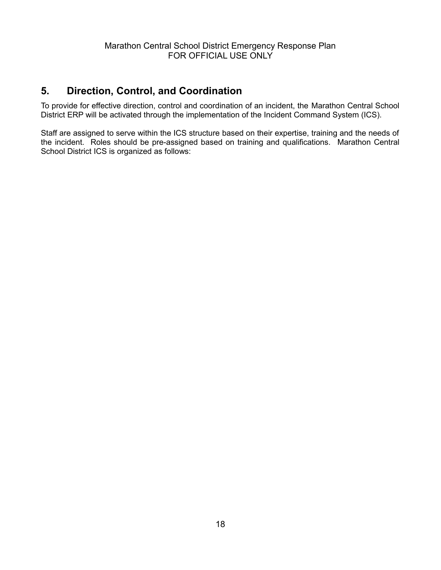### <span id="page-17-0"></span>**5. Direction, Control, and Coordination**

To provide for effective direction, control and coordination of an incident, the Marathon Central School District ERP will be activated through the implementation of the Incident Command System (ICS).

Staff are assigned to serve within the ICS structure based on their expertise, training and the needs of the incident. Roles should be pre-assigned based on training and qualifications. Marathon Central School District ICS is organized as follows: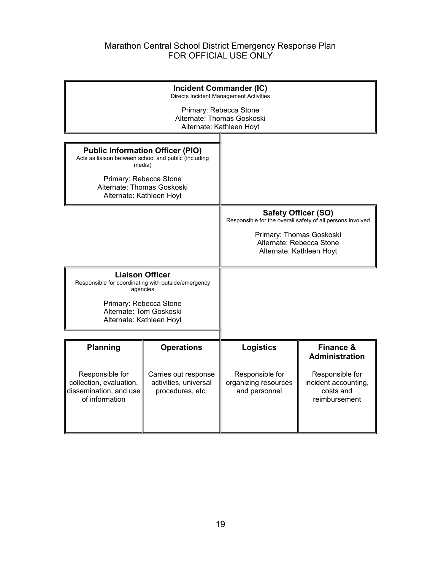| <b>Incident Commander (IC)</b><br>Directs Incident Management Activities                 |                                                                                           |                                                          |                                                                       |  |  |
|------------------------------------------------------------------------------------------|-------------------------------------------------------------------------------------------|----------------------------------------------------------|-----------------------------------------------------------------------|--|--|
|                                                                                          | Primary: Rebecca Stone<br>Alternate: Thomas Goskoski<br>Alternate: Kathleen Hoyt          |                                                          |                                                                       |  |  |
|                                                                                          |                                                                                           |                                                          |                                                                       |  |  |
| Acts as liaison between school and public (including                                     | <b>Public Information Officer (PIO)</b><br>media)                                         |                                                          |                                                                       |  |  |
| Primary: Rebecca Stone<br>Alternate: Thomas Goskoski                                     | Alternate: Kathleen Hoyt                                                                  |                                                          |                                                                       |  |  |
| <b>Safety Officer (SO)</b><br>Responsible for the overall safety of all persons involved |                                                                                           |                                                          |                                                                       |  |  |
|                                                                                          |                                                                                           | Alternate: Rebecca Stone                                 | Primary: Thomas Goskoski<br>Alternate: Kathleen Hoyt                  |  |  |
|                                                                                          | <b>Liaison Officer</b><br>Responsible for coordinating with outside/emergency<br>agencies |                                                          |                                                                       |  |  |
|                                                                                          | Primary: Rebecca Stone<br>Alternate: Tom Goskoski<br>Alternate: Kathleen Hoyt             |                                                          |                                                                       |  |  |
| <b>Planning</b>                                                                          | <b>Operations</b>                                                                         | <b>Logistics</b>                                         | <b>Finance &amp;</b>                                                  |  |  |
|                                                                                          |                                                                                           |                                                          | <b>Administration</b>                                                 |  |  |
| Responsible for<br>collection, evaluation,<br>dissemination, and use<br>of information   | Carries out response<br>activities, universal<br>procedures, etc.                         | Responsible for<br>organizing resources<br>and personnel | Responsible for<br>incident accounting,<br>costs and<br>reimbursement |  |  |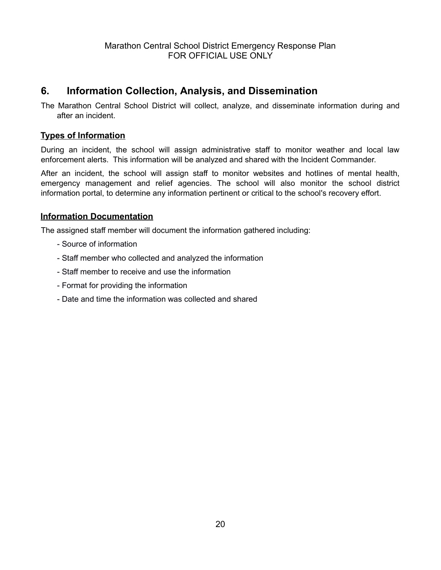### <span id="page-19-0"></span>**6. Information Collection, Analysis, and Dissemination**

The Marathon Central School District will collect, analyze, and disseminate information during and after an incident.

#### **Types of Information**

During an incident, the school will assign administrative staff to monitor weather and local law enforcement alerts. This information will be analyzed and shared with the Incident Commander.

After an incident, the school will assign staff to monitor websites and hotlines of mental health, emergency management and relief agencies. The school will also monitor the school district information portal, to determine any information pertinent or critical to the school's recovery effort.

#### **Information Documentation**

The assigned staff member will document the information gathered including:

- Source of information
- Staff member who collected and analyzed the information
- Staff member to receive and use the information
- Format for providing the information
- Date and time the information was collected and shared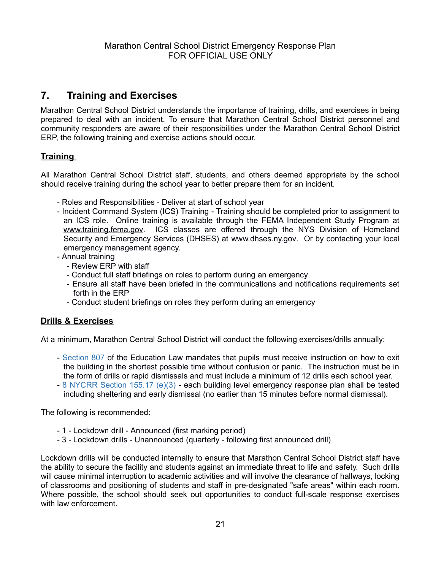### <span id="page-20-0"></span>**7. Training and Exercises**

Marathon Central School District understands the importance of training, drills, and exercises in being prepared to deal with an incident. To ensure that Marathon Central School District personnel and community responders are aware of their responsibilities under the Marathon Central School District ERP, the following training and exercise actions should occur.

#### **Training**

All Marathon Central School District staff, students, and others deemed appropriate by the school should receive training during the school year to better prepare them for an incident.

- Roles and Responsibilities Deliver at start of school year
- Incident Command System (ICS) Training Training should be completed prior to assignment to an ICS role. Online training is available through the FEMA Independent Study Program at www.training.fema.gov. ICS classes are offered through the NYS Division of Homeland Security and Emergency Services (DHSES) at [www.dhses.ny.gov.](http://www.dhses.ny.gov/) Or by contacting your local emergency management agency.
- Annual training
	- Review ERP with staff
	- Conduct full staff briefings on roles to perform during an emergency
	- Ensure all staff have been briefed in the communications and notifications requirements set forth in the ERP
	- Conduct student briefings on roles they perform during an emergency

#### **Drills & Exercises**

At a minimum, Marathon Central School District will conduct the following exercises/drills annually:

- Section 807 of the Education Law mandates that pupils must receive instruction on how to exit the building in the shortest possible time without confusion or panic. The instruction must be in the form of drills or rapid dismissals and must include a minimum of 12 drills each school year.
- 8 NYCRR Section 155.17 (e)(3) each building level emergency response plan shall be tested including sheltering and early dismissal (no earlier than 15 minutes before normal dismissal).

The following is recommended:

- 1 Lockdown drill Announced (first marking period)
- 3 Lockdown drills Unannounced (quarterly following first announced drill)

Lockdown drills will be conducted internally to ensure that Marathon Central School District staff have the ability to secure the facility and students against an immediate threat to life and safety. Such drills will cause minimal interruption to academic activities and will involve the clearance of hallways, locking of classrooms and positioning of students and staff in pre-designated "safe areas" within each room. Where possible, the school should seek out opportunities to conduct full-scale response exercises with law enforcement.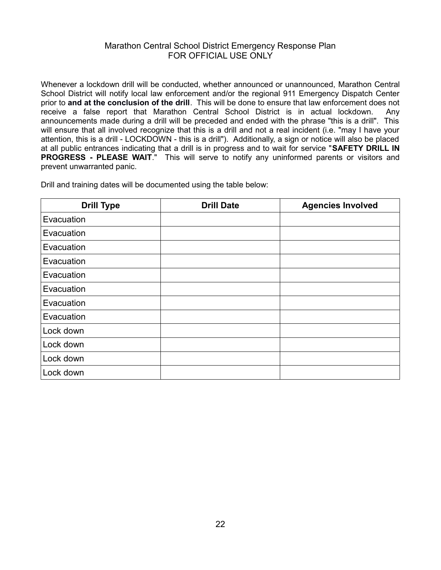Whenever a lockdown drill will be conducted, whether announced or unannounced, Marathon Central School District will notify local law enforcement and/or the regional 911 Emergency Dispatch Center prior to **and at the conclusion of the drill**. This will be done to ensure that law enforcement does not receive a false report that Marathon Central School District is in actual lockdown. Any announcements made during a drill will be preceded and ended with the phrase "this is a drill". This will ensure that all involved recognize that this is a drill and not a real incident (i.e. "may I have your attention, this is a drill - LOCKDOWN - this is a drill"). Additionally, a sign or notice will also be placed at all public entrances indicating that a drill is in progress and to wait for service "**SAFETY DRILL IN PROGRESS - PLEASE WAIT.**" This will serve to notify any uninformed parents or visitors and prevent unwarranted panic.

Drill and training dates will be documented using the table below:

| <b>Drill Type</b> | <b>Drill Date</b> | <b>Agencies Involved</b> |
|-------------------|-------------------|--------------------------|
| Evacuation        |                   |                          |
| Evacuation        |                   |                          |
| Evacuation        |                   |                          |
| Evacuation        |                   |                          |
| Evacuation        |                   |                          |
| Evacuation        |                   |                          |
| Evacuation        |                   |                          |
| Evacuation        |                   |                          |
| Lock down         |                   |                          |
| Lock down         |                   |                          |
| Lock down         |                   |                          |
| Lock down         |                   |                          |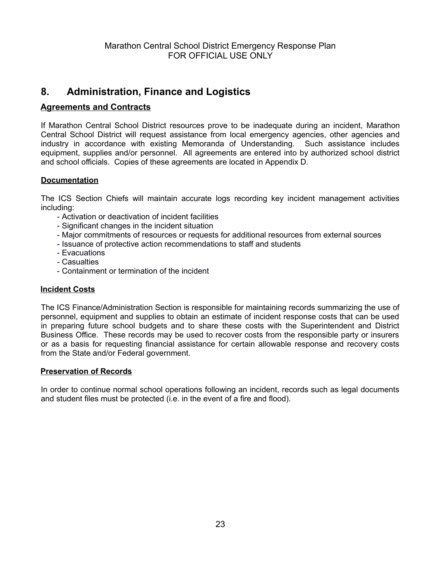### <span id="page-22-0"></span>**8. Administration, Finance and Logistics**

#### **Agreements and Contracts**

If Marathon Central School District resources prove to be inadequate during an incident, Marathon Central School District will request assistance from local emergency agencies, other agencies and industry in accordance with existing Memoranda of Understanding. Such assistance includes equipment, supplies and/or personnel. All agreements are entered into by authorized school district and school officials. Copies of these agreements are located in Appendix D.

#### **Documentation**

The ICS Section Chiefs will maintain accurate logs recording key incident management activities including:

- Activation or deactivation of incident facilities
- Significant changes in the incident situation
- Major commitments of resources or requests for additional resources from external sources
- Issuance of protective action recommendations to staff and students
- Evacuations
- Casualties
- Containment or termination of the incident

#### **Incident Costs**

The ICS Finance/Administration Section is responsible for maintaining records summarizing the use of personnel, equipment and supplies to obtain an estimate of incident response costs that can be used in preparing future school budgets and to share these costs with the Superintendent and District Business Office. These records may be used to recover costs from the responsible party or insurers or as a basis for requesting financial assistance for certain allowable response and recovery costs from the State and/or Federal government.

#### **Preservation of Records**

In order to continue normal school operations following an incident, records such as legal documents and student files must be protected (i.e. in the event of a fire and flood).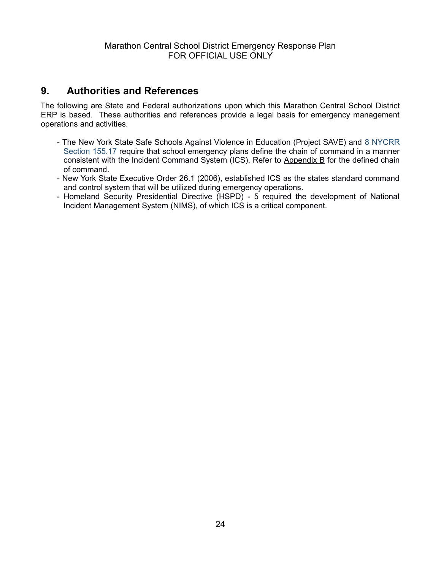### <span id="page-23-0"></span>**9. Authorities and References**

The following are State and Federal authorizations upon which this Marathon Central School District ERP is based. These authorities and references provide a legal basis for emergency management operations and activities.

- <span id="page-23-1"></span>- The New York State Safe Schools Against Violence in Education (Project SAVE) and 8 NYCRR Section 155.17 require that school emergency plans define the chain of command in a manner consistent with the Incident Command System (ICS). Refer to [Appendix B](#page-23-1) for the defined chain of command.
- New York State Executive Order 26.1 (2006), established ICS as the states standard command and control system that will be utilized during emergency operations.
- Homeland Security Presidential Directive (HSPD) 5 required the development of National Incident Management System (NIMS), of which ICS is a critical component.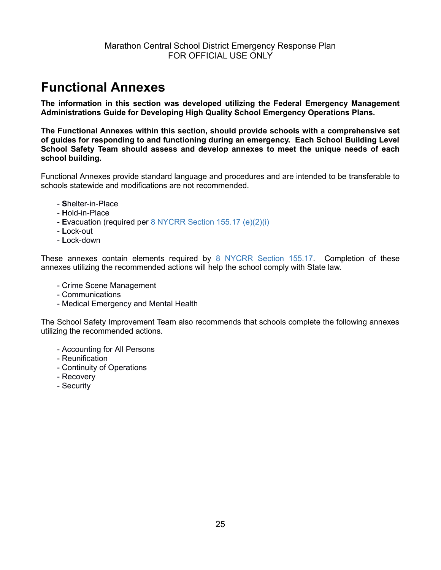## <span id="page-24-0"></span>**Functional Annexes**

**The information in this section was developed utilizing the Federal Emergency Management Administrations Guide for Developing High Quality School Emergency Operations Plans.**

**The Functional Annexes within this section, should provide schools with a comprehensive set of guides for responding to and functioning during an emergency. Each School Building Level School Safety Team should assess and develop annexes to meet the unique needs of each school building.**

Functional Annexes provide standard language and procedures and are intended to be transferable to schools statewide and modifications are not recommended.

- **S**helter-in-Place
- **H**old-in-Place
- **E**vacuation (required per 8 NYCRR Section 155.17 (e)(2)(i)
- **L**ock-out
- **L**ock-down

These annexes contain elements required by 8 NYCRR Section 155.17. Completion of these annexes utilizing the recommended actions will help the school comply with State law.

- Crime Scene Management
- Communications
- Medical Emergency and Mental Health

The School Safety Improvement Team also recommends that schools complete the following annexes utilizing the recommended actions.

- Accounting for All Persons
- Reunification
- Continuity of Operations
- Recovery
- Security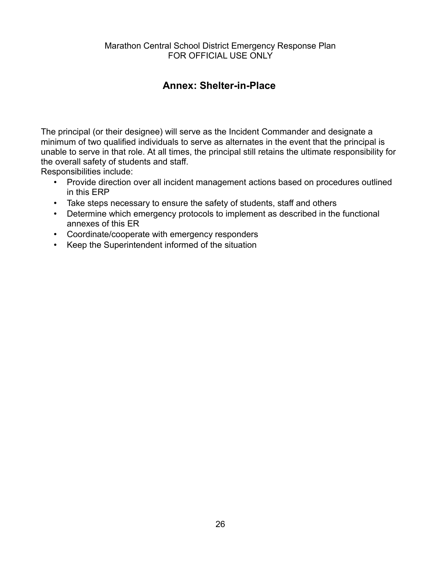### <span id="page-25-0"></span>**Annex: Shelter-in-Place**

The principal (or their designee) will serve as the Incident Commander and designate a minimum of two qualified individuals to serve as alternates in the event that the principal is unable to serve in that role. At all times, the principal still retains the ultimate responsibility for the overall safety of students and staff.

- Provide direction over all incident management actions based on procedures outlined in this ERP
- Take steps necessary to ensure the safety of students, staff and others
- Determine which emergency protocols to implement as described in the functional annexes of this ER
- Coordinate/cooperate with emergency responders
- Keep the Superintendent informed of the situation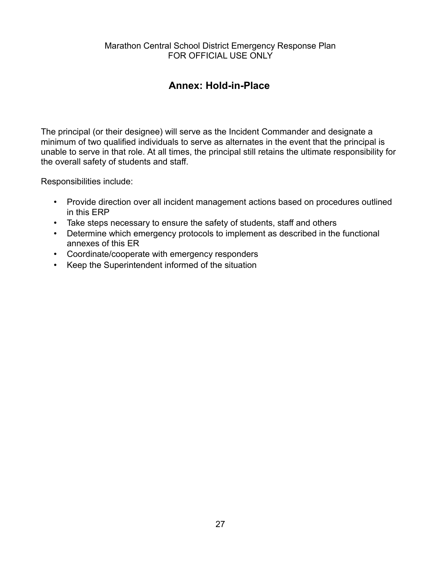### <span id="page-26-0"></span>**Annex: Hold-in-Place**

The principal (or their designee) will serve as the Incident Commander and designate a minimum of two qualified individuals to serve as alternates in the event that the principal is unable to serve in that role. At all times, the principal still retains the ultimate responsibility for the overall safety of students and staff.

- Provide direction over all incident management actions based on procedures outlined in this ERP
- Take steps necessary to ensure the safety of students, staff and others
- Determine which emergency protocols to implement as described in the functional annexes of this ER
- Coordinate/cooperate with emergency responders
- Keep the Superintendent informed of the situation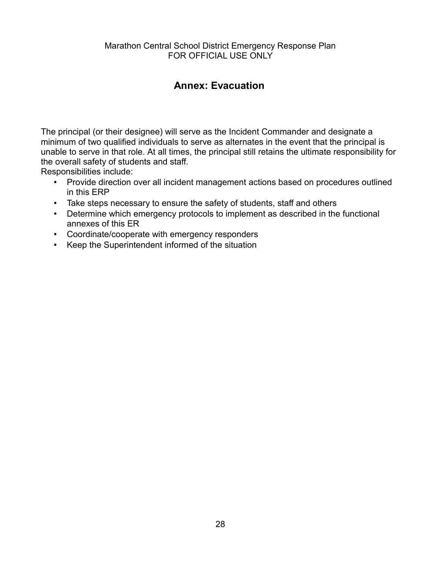### <span id="page-27-0"></span>**Annex: Evacuation**

The principal (or their designee) will serve as the Incident Commander and designate a minimum of two qualified individuals to serve as alternates in the event that the principal is unable to serve in that role. At all times, the principal still retains the ultimate responsibility for the overall safety of students and staff.

- Provide direction over all incident management actions based on procedures outlined in this ERP
- Take steps necessary to ensure the safety of students, staff and others
- Determine which emergency protocols to implement as described in the functional annexes of this ER
- Coordinate/cooperate with emergency responders
- Keep the Superintendent informed of the situation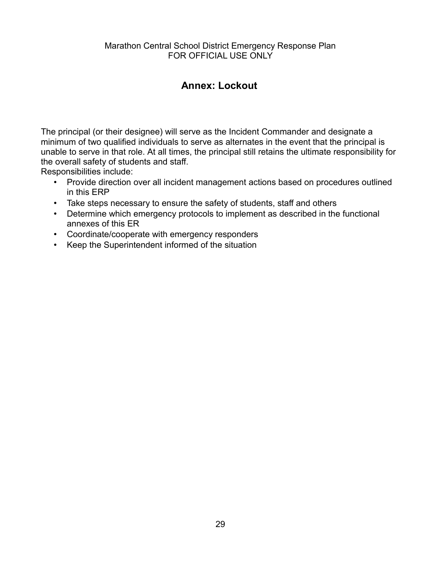### <span id="page-28-0"></span>**Annex: Lockout**

The principal (or their designee) will serve as the Incident Commander and designate a minimum of two qualified individuals to serve as alternates in the event that the principal is unable to serve in that role. At all times, the principal still retains the ultimate responsibility for the overall safety of students and staff.

- Provide direction over all incident management actions based on procedures outlined in this ERP
- Take steps necessary to ensure the safety of students, staff and others
- Determine which emergency protocols to implement as described in the functional annexes of this ER
- Coordinate/cooperate with emergency responders
- Keep the Superintendent informed of the situation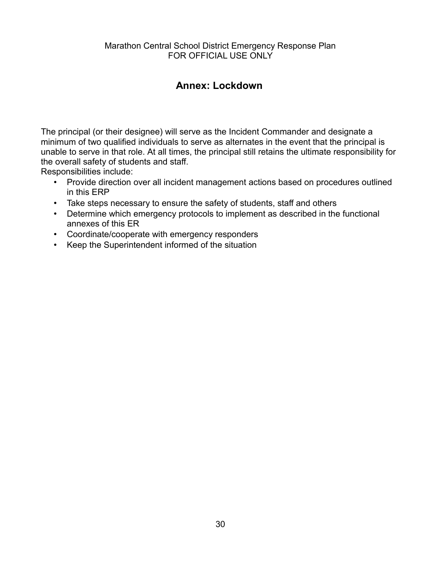### <span id="page-29-0"></span>**Annex: Lockdown**

The principal (or their designee) will serve as the Incident Commander and designate a minimum of two qualified individuals to serve as alternates in the event that the principal is unable to serve in that role. At all times, the principal still retains the ultimate responsibility for the overall safety of students and staff.

- Provide direction over all incident management actions based on procedures outlined in this ERP
- Take steps necessary to ensure the safety of students, staff and others
- Determine which emergency protocols to implement as described in the functional annexes of this ER
- Coordinate/cooperate with emergency responders
- Keep the Superintendent informed of the situation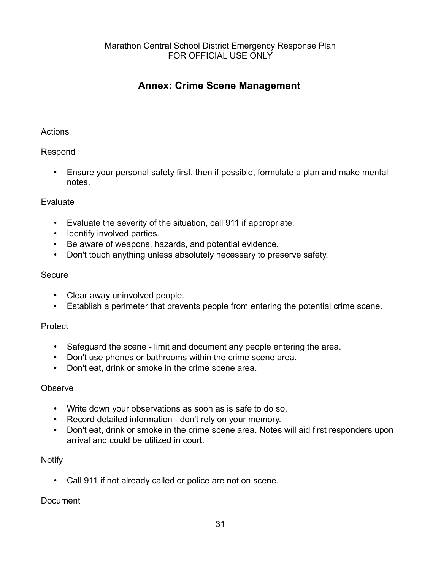### <span id="page-30-0"></span>**Annex: Crime Scene Management**

#### **Actions**

#### Respond

 Ensure your personal safety first, then if possible, formulate a plan and make mental notes.

#### Evaluate

- Evaluate the severity of the situation, call 911 if appropriate.
- Identify involved parties.
- Be aware of weapons, hazards, and potential evidence.
- Don't touch anything unless absolutely necessary to preserve safety.

#### **Secure**

- Clear away uninvolved people.
- Establish a perimeter that prevents people from entering the potential crime scene.

#### Protect

- Safeguard the scene limit and document any people entering the area.
- Don't use phones or bathrooms within the crime scene area.
- Don't eat, drink or smoke in the crime scene area.

#### **Observe**

- Write down your observations as soon as is safe to do so.
- Record detailed information don't rely on your memory.
- Don't eat, drink or smoke in the crime scene area. Notes will aid first responders upon arrival and could be utilized in court.

#### **Notify**

Call 911 if not already called or police are not on scene.

#### **Document**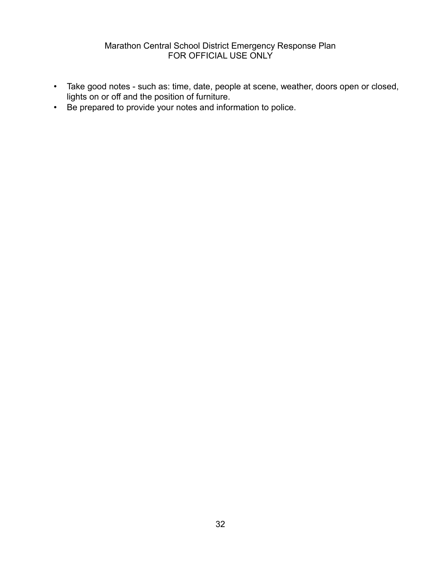- Take good notes such as: time, date, people at scene, weather, doors open or closed, lights on or off and the position of furniture.
- Be prepared to provide your notes and information to police.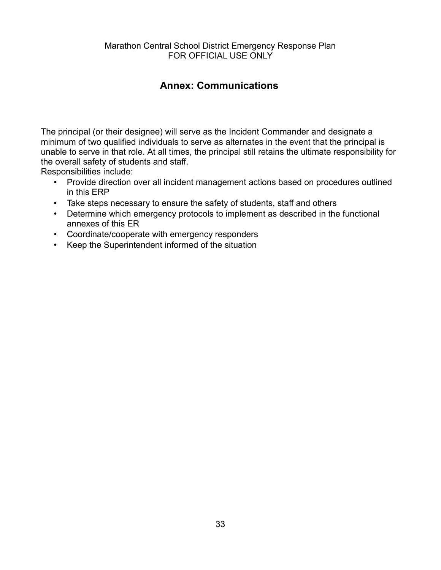### <span id="page-32-0"></span>**Annex: Communications**

The principal (or their designee) will serve as the Incident Commander and designate a minimum of two qualified individuals to serve as alternates in the event that the principal is unable to serve in that role. At all times, the principal still retains the ultimate responsibility for the overall safety of students and staff.

- Provide direction over all incident management actions based on procedures outlined in this ERP
- Take steps necessary to ensure the safety of students, staff and others
- Determine which emergency protocols to implement as described in the functional annexes of this ER
- Coordinate/cooperate with emergency responders
- Keep the Superintendent informed of the situation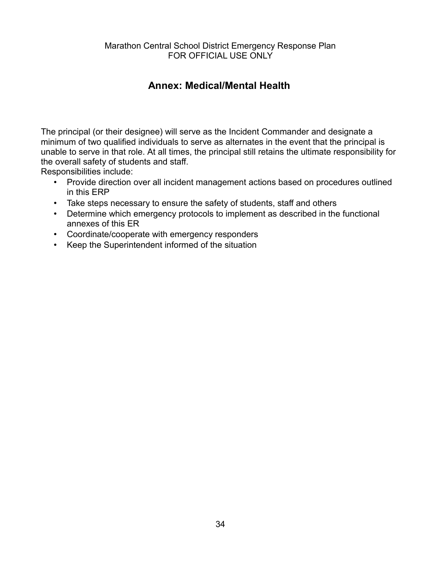### <span id="page-33-0"></span>**Annex: Medical/Mental Health**

The principal (or their designee) will serve as the Incident Commander and designate a minimum of two qualified individuals to serve as alternates in the event that the principal is unable to serve in that role. At all times, the principal still retains the ultimate responsibility for the overall safety of students and staff.

- Provide direction over all incident management actions based on procedures outlined in this ERP
- Take steps necessary to ensure the safety of students, staff and others
- Determine which emergency protocols to implement as described in the functional annexes of this ER
- Coordinate/cooperate with emergency responders
- Keep the Superintendent informed of the situation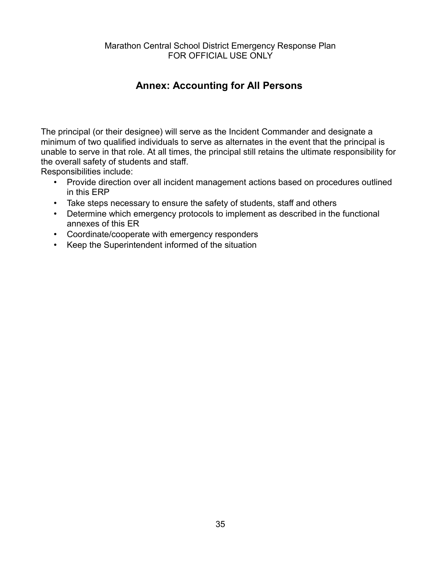### <span id="page-34-0"></span>**Annex: Accounting for All Persons**

The principal (or their designee) will serve as the Incident Commander and designate a minimum of two qualified individuals to serve as alternates in the event that the principal is unable to serve in that role. At all times, the principal still retains the ultimate responsibility for the overall safety of students and staff.

- Provide direction over all incident management actions based on procedures outlined in this ERP
- Take steps necessary to ensure the safety of students, staff and others
- Determine which emergency protocols to implement as described in the functional annexes of this ER
- Coordinate/cooperate with emergency responders
- Keep the Superintendent informed of the situation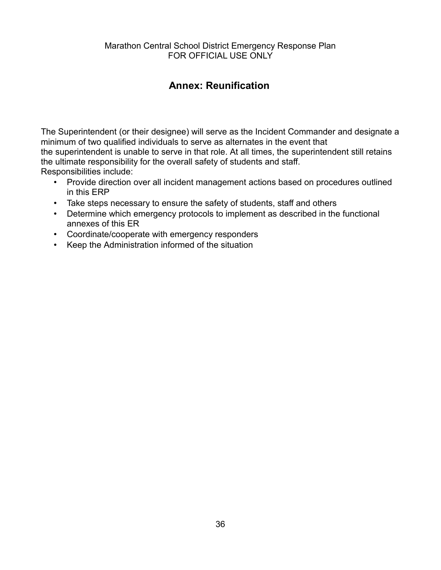### <span id="page-35-0"></span>**Annex: Reunification**

The Superintendent (or their designee) will serve as the Incident Commander and designate a minimum of two qualified individuals to serve as alternates in the event that the superintendent is unable to serve in that role. At all times, the superintendent still retains the ultimate responsibility for the overall safety of students and staff. Responsibilities include:

- Provide direction over all incident management actions based on procedures outlined in this ERP
- Take steps necessary to ensure the safety of students, staff and others
- Determine which emergency protocols to implement as described in the functional annexes of this ER
- Coordinate/cooperate with emergency responders
- Keep the Administration informed of the situation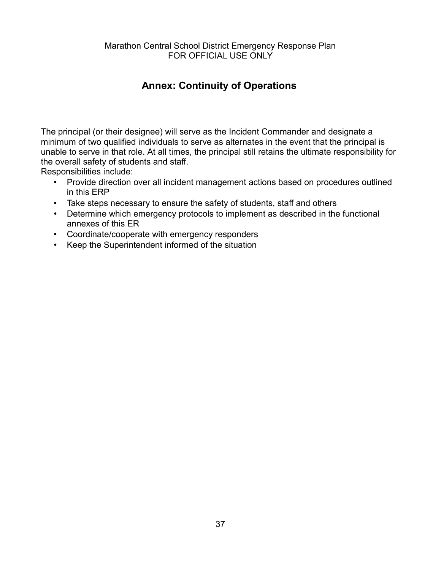### <span id="page-36-0"></span>**Annex: Continuity of Operations**

The principal (or their designee) will serve as the Incident Commander and designate a minimum of two qualified individuals to serve as alternates in the event that the principal is unable to serve in that role. At all times, the principal still retains the ultimate responsibility for the overall safety of students and staff.

- Provide direction over all incident management actions based on procedures outlined in this ERP
- Take steps necessary to ensure the safety of students, staff and others
- Determine which emergency protocols to implement as described in the functional annexes of this ER
- Coordinate/cooperate with emergency responders
- Keep the Superintendent informed of the situation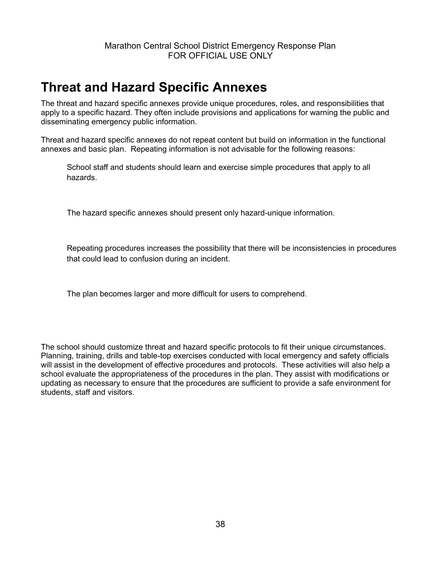## <span id="page-37-0"></span>**Threat and Hazard Specific Annexes**

The threat and hazard specific annexes provide unique procedures, roles, and responsibilities that apply to a specific hazard. They often include provisions and applications for warning the public and disseminating emergency public information.

Threat and hazard specific annexes do not repeat content but build on information in the functional annexes and basic plan. Repeating information is not advisable for the following reasons:

School staff and students should learn and exercise simple procedures that apply to all hazards.

The hazard specific annexes should present only hazard-unique information.

Repeating procedures increases the possibility that there will be inconsistencies in procedures that could lead to confusion during an incident.

The plan becomes larger and more difficult for users to comprehend.

The school should customize threat and hazard specific protocols to fit their unique circumstances. Planning, training, drills and table-top exercises conducted with local emergency and safety officials will assist in the development of effective procedures and protocols. These activities will also help a school evaluate the appropriateness of the procedures in the plan. They assist with modifications or updating as necessary to ensure that the procedures are sufficient to provide a safe environment for students, staff and visitors.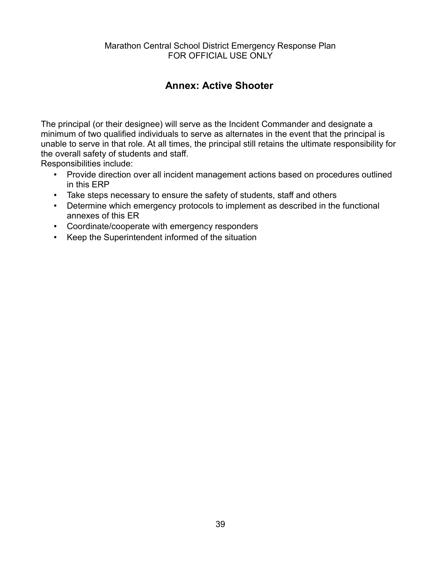### <span id="page-38-0"></span>**Annex: Active Shooter**

The principal (or their designee) will serve as the Incident Commander and designate a minimum of two qualified individuals to serve as alternates in the event that the principal is unable to serve in that role. At all times, the principal still retains the ultimate responsibility for the overall safety of students and staff.

- Provide direction over all incident management actions based on procedures outlined in this ERP
- Take steps necessary to ensure the safety of students, staff and others
- Determine which emergency protocols to implement as described in the functional annexes of this ER
- Coordinate/cooperate with emergency responders
- Keep the Superintendent informed of the situation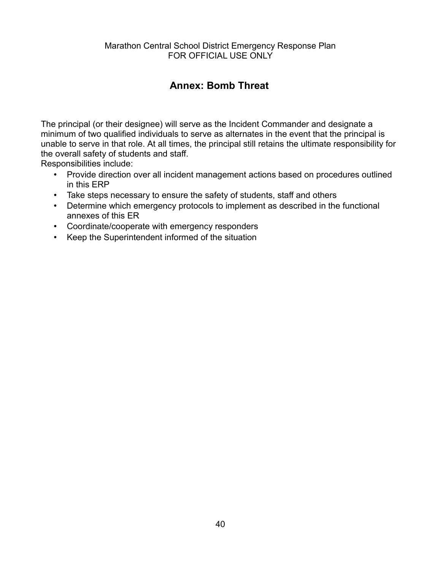### <span id="page-39-0"></span>**Annex: Bomb Threat**

The principal (or their designee) will serve as the Incident Commander and designate a minimum of two qualified individuals to serve as alternates in the event that the principal is unable to serve in that role. At all times, the principal still retains the ultimate responsibility for the overall safety of students and staff.

- Provide direction over all incident management actions based on procedures outlined in this ERP
- Take steps necessary to ensure the safety of students, staff and others
- Determine which emergency protocols to implement as described in the functional annexes of this ER
- Coordinate/cooperate with emergency responders
- Keep the Superintendent informed of the situation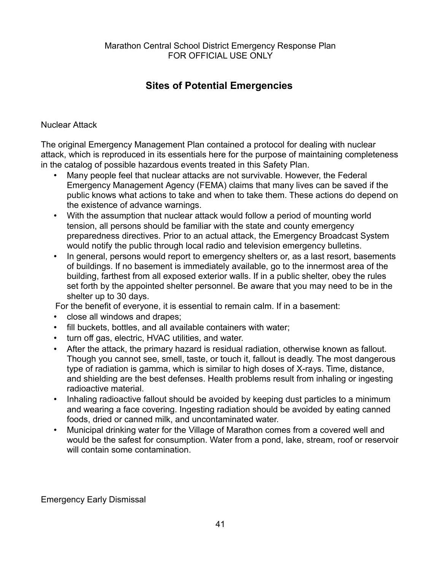### <span id="page-40-0"></span>**Sites of Potential Emergencies**

#### Nuclear Attack

The original Emergency Management Plan contained a protocol for dealing with nuclear attack, which is reproduced in its essentials here for the purpose of maintaining completeness in the catalog of possible hazardous events treated in this Safety Plan.

- Many people feel that nuclear attacks are not survivable. However, the Federal Emergency Management Agency (FEMA) claims that many lives can be saved if the public knows what actions to take and when to take them. These actions do depend on the existence of advance warnings.
- With the assumption that nuclear attack would follow a period of mounting world tension, all persons should be familiar with the state and county emergency preparedness directives. Prior to an actual attack, the Emergency Broadcast System would notify the public through local radio and television emergency bulletins.
- In general, persons would report to emergency shelters or, as a last resort, basements of buildings. If no basement is immediately available, go to the innermost area of the building, farthest from all exposed exterior walls. If in a public shelter, obey the rules set forth by the appointed shelter personnel. Be aware that you may need to be in the shelter up to 30 days.

For the benefit of everyone, it is essential to remain calm. If in a basement:

- close all windows and drapes;
- fill buckets, bottles, and all available containers with water;
- turn off gas, electric, HVAC utilities, and water.
- After the attack, the primary hazard is residual radiation, otherwise known as fallout. Though you cannot see, smell, taste, or touch it, fallout is deadly. The most dangerous type of radiation is gamma, which is similar to high doses of X-rays. Time, distance, and shielding are the best defenses. Health problems result from inhaling or ingesting radioactive material.
- Inhaling radioactive fallout should be avoided by keeping dust particles to a minimum and wearing a face covering. Ingesting radiation should be avoided by eating canned foods, dried or canned milk, and uncontaminated water.
- Municipal drinking water for the Village of Marathon comes from a covered well and would be the safest for consumption. Water from a pond, lake, stream, roof or reservoir will contain some contamination.

Emergency Early Dismissal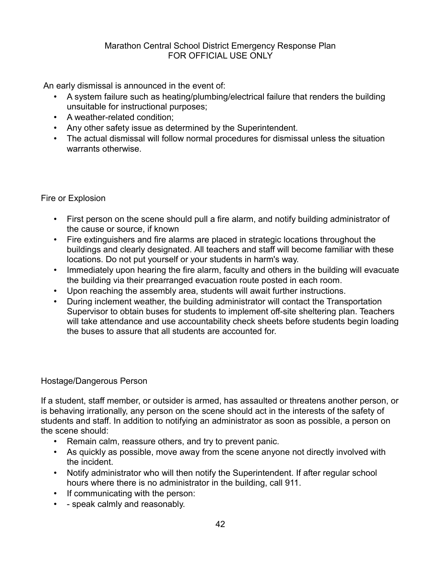An early dismissal is announced in the event of:

- A system failure such as heating/plumbing/electrical failure that renders the building unsuitable for instructional purposes;
- A weather-related condition;
- Any other safety issue as determined by the Superintendent.
- The actual dismissal will follow normal procedures for dismissal unless the situation warrants otherwise.

#### Fire or Explosion

- First person on the scene should pull a fire alarm, and notify building administrator of the cause or source, if known
- Fire extinguishers and fire alarms are placed in strategic locations throughout the buildings and clearly designated. All teachers and staff will become familiar with these locations. Do not put yourself or your students in harm's way.
- Immediately upon hearing the fire alarm, faculty and others in the building will evacuate the building via their prearranged evacuation route posted in each room.
- Upon reaching the assembly area, students will await further instructions.
- During inclement weather, the building administrator will contact the Transportation Supervisor to obtain buses for students to implement off-site sheltering plan. Teachers will take attendance and use accountability check sheets before students begin loading the buses to assure that all students are accounted for.

#### Hostage/Dangerous Person

If a student, staff member, or outsider is armed, has assaulted or threatens another person, or is behaving irrationally, any person on the scene should act in the interests of the safety of students and staff. In addition to notifying an administrator as soon as possible, a person on the scene should:

- Remain calm, reassure others, and try to prevent panic.
- As quickly as possible, move away from the scene anyone not directly involved with the incident.
- Notify administrator who will then notify the Superintendent. If after regular school hours where there is no administrator in the building, call 911.
- If communicating with the person:
- speak calmly and reasonably.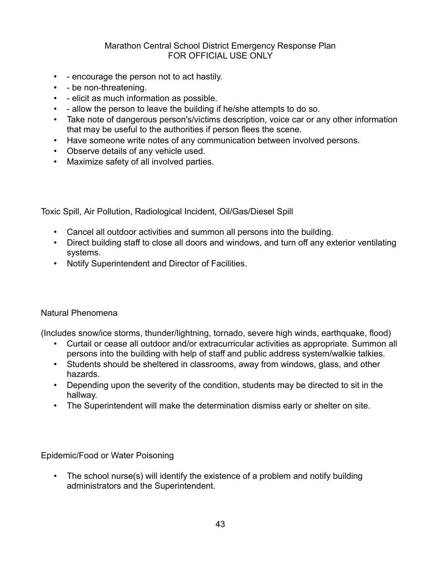- encourage the person not to act hastily.
- - be non-threatening.
- elicit as much information as possible.
- allow the person to leave the building if he/she attempts to do so.
- Take note of dangerous person's/victims description, voice car or any other information that may be useful to the authorities if person flees the scene.
- Have someone write notes of any communication between involved persons.
- Observe details of any vehicle used.
- Maximize safety of all involved parties.

Toxic Spill, Air Pollution, Radiological Incident, Oil/Gas/Diesel Spill

- Cancel all outdoor activities and summon all persons into the building.
- Direct building staff to close all doors and windows, and turn off any exterior ventilating systems.
- Notify Superintendent and Director of Facilities.

#### Natural Phenomena

(Includes snow/ice storms, thunder/lightning, tornado, severe high winds, earthquake, flood)

- Curtail or cease all outdoor and/or extracurricular activities as appropriate. Summon all persons into the building with help of staff and public address system/walkie talkies.
- Students should be sheltered in classrooms, away from windows, glass, and other hazards.
- Depending upon the severity of the condition, students may be directed to sit in the hallway.
- The Superintendent will make the determination dismiss early or shelter on site.

Epidemic/Food or Water Poisoning

• The school nurse(s) will identify the existence of a problem and notify building administrators and the Superintendent.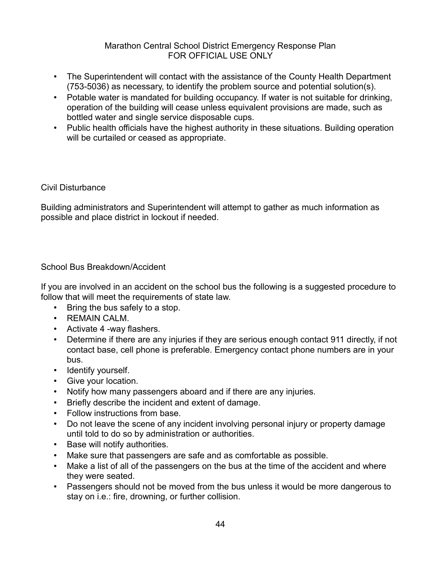- The Superintendent will contact with the assistance of the County Health Department (753-5036) as necessary, to identify the problem source and potential solution(s).
- Potable water is mandated for building occupancy. If water is not suitable for drinking, operation of the building will cease unless equivalent provisions are made, such as bottled water and single service disposable cups.
- Public health officials have the highest authority in these situations. Building operation will be curtailed or ceased as appropriate.

#### Civil Disturbance

Building administrators and Superintendent will attempt to gather as much information as possible and place district in lockout if needed.

#### School Bus Breakdown/Accident

If you are involved in an accident on the school bus the following is a suggested procedure to follow that will meet the requirements of state law.

- Bring the bus safely to a stop.
- REMAIN CALM.
- Activate 4 -way flashers.
- Determine if there are any injuries if they are serious enough contact 911 directly, if not contact base, cell phone is preferable. Emergency contact phone numbers are in your bus.
- Identify yourself.
- Give your location.
- Notify how many passengers aboard and if there are any injuries.
- Briefly describe the incident and extent of damage.
- Follow instructions from base.
- Do not leave the scene of any incident involving personal injury or property damage until told to do so by administration or authorities.
- Base will notify authorities.
- Make sure that passengers are safe and as comfortable as possible.
- Make a list of all of the passengers on the bus at the time of the accident and where they were seated.
- Passengers should not be moved from the bus unless it would be more dangerous to stay on i.e.: fire, drowning, or further collision.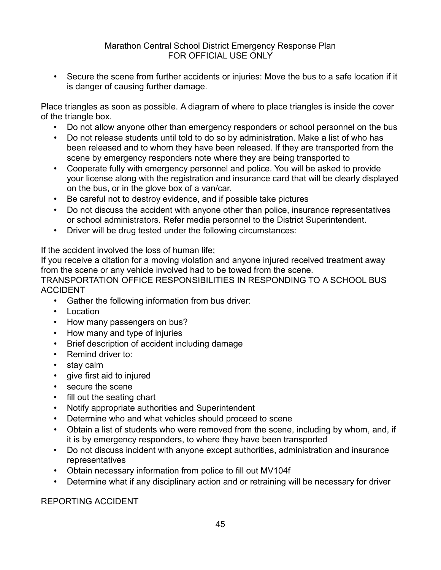Secure the scene from further accidents or injuries: Move the bus to a safe location if it is danger of causing further damage.

Place triangles as soon as possible. A diagram of where to place triangles is inside the cover of the triangle box.

- Do not allow anyone other than emergency responders or school personnel on the bus
- Do not release students until told to do so by administration. Make a list of who has been released and to whom they have been released. If they are transported from the scene by emergency responders note where they are being transported to
- Cooperate fully with emergency personnel and police. You will be asked to provide your license along with the registration and insurance card that will be clearly displayed on the bus, or in the glove box of a van/car.
- Be careful not to destroy evidence, and if possible take pictures
- Do not discuss the accident with anyone other than police, insurance representatives or school administrators. Refer media personnel to the District Superintendent.
- Driver will be drug tested under the following circumstances:

If the accident involved the loss of human life;

If you receive a citation for a moving violation and anyone injured received treatment away from the scene or any vehicle involved had to be towed from the scene.

TRANSPORTATION OFFICE RESPONSIBILITIES IN RESPONDING TO A SCHOOL BUS ACCIDENT

- Gather the following information from bus driver:
- Location
- How many passengers on bus?
- How many and type of injuries
- Brief description of accident including damage
- Remind driver to:
- stay calm
- give first aid to injured
- secure the scene
- fill out the seating chart
- Notify appropriate authorities and Superintendent
- Determine who and what vehicles should proceed to scene
- Obtain a list of students who were removed from the scene, including by whom, and, if it is by emergency responders, to where they have been transported
- Do not discuss incident with anyone except authorities, administration and insurance representatives
- Obtain necessary information from police to fill out MV104f
- Determine what if any disciplinary action and or retraining will be necessary for driver

REPORTING ACCIDENT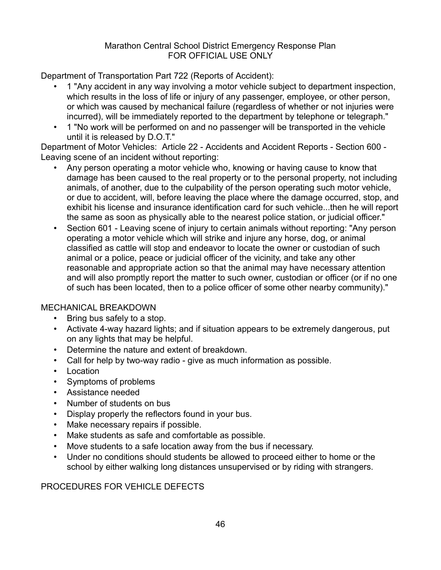Department of Transportation Part 722 (Reports of Accident):

- 1 "Any accident in any way involving a motor vehicle subject to department inspection, which results in the loss of life or injury of any passenger, employee, or other person, or which was caused by mechanical failure (regardless of whether or not injuries were incurred), will be immediately reported to the department by telephone or telegraph."
- 1 "No work will be performed on and no passenger will be transported in the vehicle until it is released by D.O.T."

Department of Motor Vehicles: Article 22 - Accidents and Accident Reports - Section 600 - Leaving scene of an incident without reporting:

- Any person operating a motor vehicle who, knowing or having cause to know that damage has been caused to the real property or to the personal property, not including animals, of another, due to the culpability of the person operating such motor vehicle, or due to accident, will, before leaving the place where the damage occurred, stop, and exhibit his license and insurance identification card for such vehicle...then he will report the same as soon as physically able to the nearest police station, or judicial officer."
- Section 601 Leaving scene of injury to certain animals without reporting: "Any person operating a motor vehicle which will strike and injure any horse, dog, or animal classified as cattle will stop and endeavor to locate the owner or custodian of such animal or a police, peace or judicial officer of the vicinity, and take any other reasonable and appropriate action so that the animal may have necessary attention and will also promptly report the matter to such owner, custodian or officer (or if no one of such has been located, then to a police officer of some other nearby community)."

#### MECHANICAL BREAKDOWN

- $\cdot$  Bring bus safely to a stop.
- Activate 4-way hazard lights; and if situation appears to be extremely dangerous, put on any lights that may be helpful.
- Determine the nature and extent of breakdown.
- Call for help by two-way radio give as much information as possible.
- Location
- Symptoms of problems
- Assistance needed
- Number of students on bus
- Display properly the reflectors found in your bus.
- Make necessary repairs if possible.
- Make students as safe and comfortable as possible.
- Move students to a safe location away from the bus if necessary.
- Under no conditions should students be allowed to proceed either to home or the school by either walking long distances unsupervised or by riding with strangers.

#### PROCEDURES FOR VEHICLE DEFECTS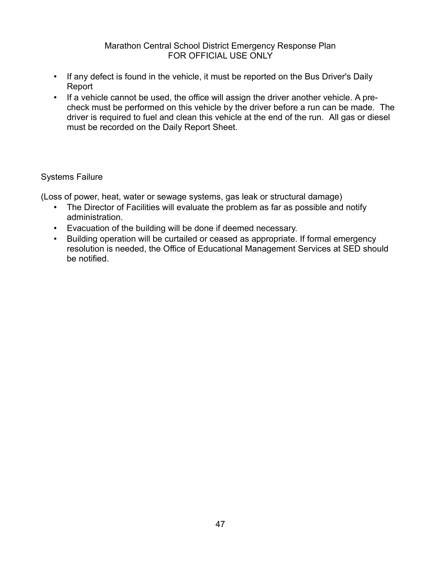- If any defect is found in the vehicle, it must be reported on the Bus Driver's Daily Report
- If a vehicle cannot be used, the office will assign the driver another vehicle. A precheck must be performed on this vehicle by the driver before a run can be made. The driver is required to fuel and clean this vehicle at the end of the run. All gas or diesel must be recorded on the Daily Report Sheet.

#### Systems Failure

(Loss of power, heat, water or sewage systems, gas leak or structural damage)

- The Director of Facilities will evaluate the problem as far as possible and notify administration.
- Evacuation of the building will be done if deemed necessary.
- Building operation will be curtailed or ceased as appropriate. If formal emergency resolution is needed, the Office of Educational Management Services at SED should be notified.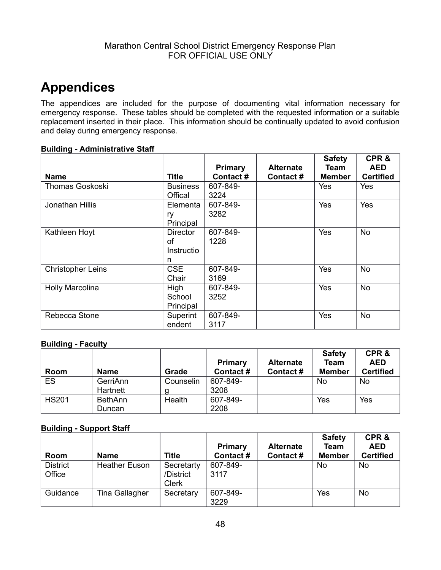## <span id="page-47-0"></span>**Appendices**

The appendices are included for the purpose of documenting vital information necessary for emergency response. These tables should be completed with the requested information or a suitable replacement inserted in their place. This information should be continually updated to avoid confusion and delay during emergency response.

#### **Building - Administrative Staff**

|                          |                 | <b>Primary</b> | <b>Alternate</b> | <b>Safety</b><br>Team | CPR&<br><b>AED</b> |
|--------------------------|-----------------|----------------|------------------|-----------------------|--------------------|
| <b>Name</b>              | Title           | Contact#       | Contact#         | <b>Member</b>         | <b>Certified</b>   |
| <b>Thomas Goskoski</b>   | <b>Business</b> | 607-849-       |                  | Yes                   | Yes                |
|                          | Offical         | 3224           |                  |                       |                    |
| Jonathan Hillis          | Elementa        | 607-849-       |                  | Yes                   | Yes                |
|                          | ry              | 3282           |                  |                       |                    |
|                          | Principal       |                |                  |                       |                    |
| Kathleen Hoyt            | Director        | 607-849-       |                  | Yes                   | <b>No</b>          |
|                          | οf              | 1228           |                  |                       |                    |
|                          | Instructio      |                |                  |                       |                    |
|                          | n               |                |                  |                       |                    |
| <b>Christopher Leins</b> | <b>CSE</b>      | 607-849-       |                  | Yes                   | <b>No</b>          |
|                          | Chair           | 3169           |                  |                       |                    |
| <b>Holly Marcolina</b>   | High            | 607-849-       |                  | Yes                   | <b>No</b>          |
|                          | School          | 3252           |                  |                       |                    |
|                          | Principal       |                |                  |                       |                    |
| Rebecca Stone            | Superint        | 607-849-       |                  | Yes                   | <b>No</b>          |
|                          | endent          | 3117           |                  |                       |                    |

#### **Building - Faculty**

|              |                |           |          |                  | <b>Safety</b> | CPR&             |
|--------------|----------------|-----------|----------|------------------|---------------|------------------|
|              |                |           | Primary  | <b>Alternate</b> | Team          | <b>AED</b>       |
| Room         | <b>Name</b>    | Grade     | Contact# | Contact#         | <b>Member</b> | <b>Certified</b> |
| ES           | GerriAnn       | Counselin | 607-849- |                  | No            | <b>No</b>        |
|              | Hartnett       |           | 3208     |                  |               |                  |
| <b>HS201</b> | <b>BethAnn</b> | Health    | 607-849- |                  | Yes           | Yes              |
|              | Duncan         |           | 2208     |                  |               |                  |

#### **Building - Support Staff**

| Room                      | <b>Name</b>          | <b>Title</b>                            | <b>Primary</b><br>Contact# | <b>Alternate</b><br>Contact# | <b>Safety</b><br><b>Team</b><br><b>Member</b> | CPR&<br><b>AED</b><br><b>Certified</b> |
|---------------------------|----------------------|-----------------------------------------|----------------------------|------------------------------|-----------------------------------------------|----------------------------------------|
| <b>District</b><br>Office | <b>Heather Euson</b> | Secretarty<br>/District<br><b>Clerk</b> | 607-849-<br>3117           |                              | No                                            | No                                     |
| Guidance                  | Tina Gallagher       | Secretary                               | 607-849-<br>3229           |                              | Yes                                           | No                                     |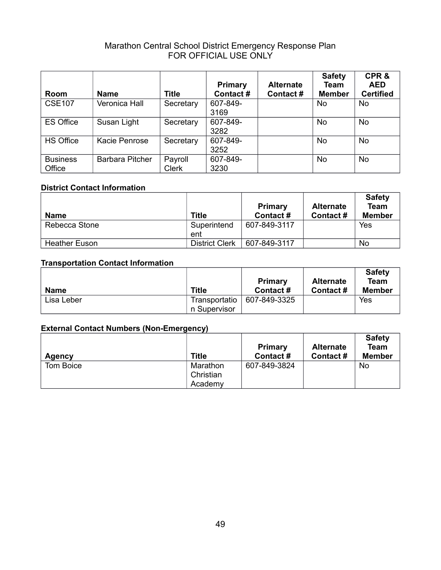|                           |                        |                         | <b>Primary</b>   | <b>Alternate</b> | <b>Safety</b><br>Team | CPR&<br><b>AED</b> |
|---------------------------|------------------------|-------------------------|------------------|------------------|-----------------------|--------------------|
| Room                      | <b>Name</b>            | Title                   | Contact#         | Contact#         | <b>Member</b>         | <b>Certified</b>   |
| <b>CSE107</b>             | Veronica Hall          | Secretary               | 607-849-<br>3169 |                  | No                    | <b>No</b>          |
| <b>ES Office</b>          | Susan Light            | Secretary               | 607-849-<br>3282 |                  | <b>No</b>             | <b>No</b>          |
| <b>HS Office</b>          | Kacie Penrose          | Secretary               | 607-849-<br>3252 |                  | No                    | <b>No</b>          |
| <b>Business</b><br>Office | <b>Barbara Pitcher</b> | Payroll<br><b>Clerk</b> | 607-849-<br>3230 |                  | No                    | <b>No</b>          |

#### **District Contact Information**

| <b>Name</b>          | <b>Title</b>          | <b>Primary</b><br>Contact # | <b>Alternate</b><br>Contact# | <b>Safety</b><br><b>Team</b><br><b>Member</b> |
|----------------------|-----------------------|-----------------------------|------------------------------|-----------------------------------------------|
| Rebecca Stone        | Superintend<br>ent    | 607-849-3117                |                              | Yes                                           |
| <b>Heather Euson</b> | <b>District Clerk</b> | 607-849-3117                |                              | No                                            |

#### **Transportation Contact Information**

|            |               | Primary      | <b>Alternate</b> | <b>Safety</b><br>Team |
|------------|---------------|--------------|------------------|-----------------------|
| Name       | <b>Title</b>  | Contact #    | Contact #        | Member                |
| Lisa Leber | Transportatio | 607-849-3325 |                  | Yes                   |
|            | n Supervisor  |              |                  |                       |

#### **External Contact Numbers (Non-Emergency)**

| Agency    | <b>Title</b> | <b>Primary</b><br>Contact# | <b>Alternate</b><br>Contact# | <b>Safety</b><br><b>Team</b><br><b>Member</b> |
|-----------|--------------|----------------------------|------------------------------|-----------------------------------------------|
| Tom Boice | Marathon     | 607-849-3824               |                              | No                                            |
|           | Christian    |                            |                              |                                               |
|           | Academy      |                            |                              |                                               |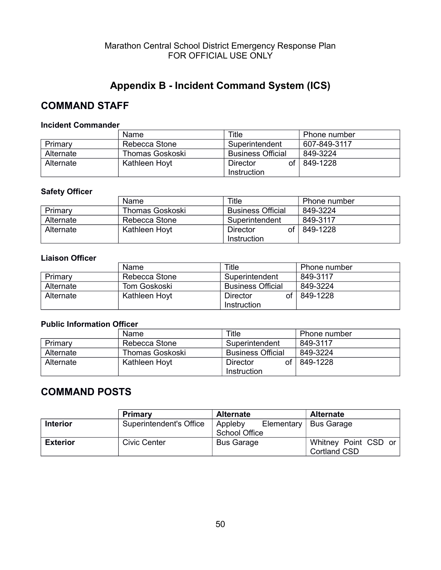### <span id="page-49-0"></span>**Appendix B - Incident Command System (ICS)**

### **COMMAND STAFF**

#### **Incident Commander**

|           | Name            | Title                    | <b>Phone number</b> |
|-----------|-----------------|--------------------------|---------------------|
| Primary   | Rebecca Stone   | Superintendent           | 607-849-3117        |
| Alternate | Thomas Goskoski | <b>Business Official</b> | 849-3224            |
| Alternate | Kathleen Hoyt   | оf<br>Director           | 849-1228            |
|           |                 | Instruction              |                     |

#### **Safety Officer**

|           | Name            | Title                    | Phone number |
|-----------|-----------------|--------------------------|--------------|
| Primary   | Thomas Goskoski | <b>Business Official</b> | 849-3224     |
| Alternate | Rebecca Stone   | Superintendent           | 849-3117     |
| Alternate | Kathleen Hoyt   | οf<br>Director           | 849-1228     |
|           |                 | Instruction              |              |

#### **Liaison Officer**

|           | Name.         | Title                    | Phone number |
|-----------|---------------|--------------------------|--------------|
| Primary   | Rebecca Stone | Superintendent           | 849-3117     |
| Alternate | Tom Goskoski  | <b>Business Official</b> | 849-3224     |
| Alternate | Kathleen Hoyt | Ωf<br>Director           | 849-1228     |
|           |               | Instruction              |              |

#### **Public Information Officer**

|           | Name                   | Title                    | Phone number |
|-----------|------------------------|--------------------------|--------------|
| Primary   | Rebecca Stone          | Superintendent           | 849-3117     |
| Alternate | <b>Thomas Goskoski</b> | <b>Business Official</b> | 849-3224     |
| Alternate | Kathleen Hoyt          | of l<br>Director         | 849-1228     |
|           |                        | Instruction              |              |

### **COMMAND POSTS**

|                 | <b>Primary</b>          | <b>Alternate</b>  | <b>Alternate</b>        |
|-----------------|-------------------------|-------------------|-------------------------|
| <b>Interior</b> | Superintendent's Office | Appleby           | Elementary   Bus Garage |
|                 |                         | School Office     |                         |
| <b>Exterior</b> | <b>Civic Center</b>     | <b>Bus Garage</b> | Whitney Point CSD or    |
|                 |                         |                   | <b>Cortland CSD</b>     |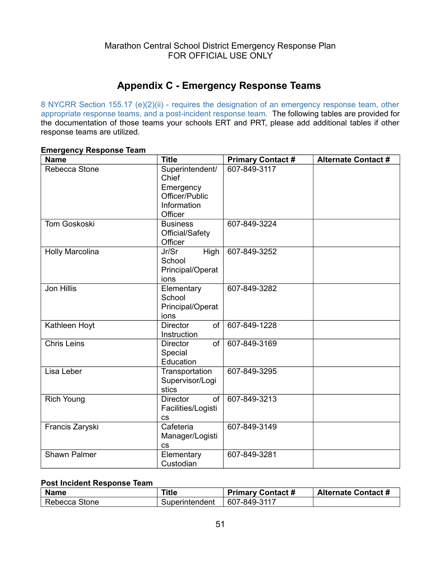### <span id="page-50-0"></span>**Appendix C - Emergency Response Teams**

8 NYCRR Section 155.17 (e)(2)(ii) - requires the designation of an emergency response team, other appropriate response teams, and a post-incident response team. The following tables are provided for the documentation of those teams your schools ERT and PRT, please add additional tables if other response teams are utilized.

| <b>Name</b>         | <b>Title</b>                                                                      | <b>Primary Contact#</b> | <b>Alternate Contact #</b> |
|---------------------|-----------------------------------------------------------------------------------|-------------------------|----------------------------|
| Rebecca Stone       | Superintendent/<br>Chief<br>Emergency<br>Officer/Public<br>Information<br>Officer | 607-849-3117            |                            |
| <b>Tom Goskoski</b> | <b>Business</b><br>Official/Safety<br>Officer                                     | 607-849-3224            |                            |
| Holly Marcolina     | Jr/Sr<br>High<br>School<br>Principal/Operat<br>ions                               | 607-849-3252            |                            |
| <b>Jon Hillis</b>   | Elementary<br>School<br>Principal/Operat<br>ions                                  | 607-849-3282            |                            |
| Kathleen Hoyt       | <b>Director</b><br>of<br>Instruction                                              | 607-849-1228            |                            |
| <b>Chris Leins</b>  | of<br><b>Director</b><br>Special<br>Education                                     | 607-849-3169            |                            |
| Lisa Leber          | Transportation<br>Supervisor/Logi<br>stics                                        | 607-849-3295            |                            |
| <b>Rich Young</b>   | <b>Director</b><br>of<br>Facilities/Logisti<br>$\mathsf{CS}\phantom{0}$           | 607-849-3213            |                            |
| Francis Zaryski     | Cafeteria<br>Manager/Logisti<br><b>CS</b>                                         | 607-849-3149            |                            |
| Shawn Palmer        | Elementary<br>Custodian                                                           | 607-849-3281            |                            |

#### **Emergency Response Team**

#### **Post Incident Response Team**

| <b>Name</b>   | <b>Title</b>   | <b>Primary Contact #</b> | <b>Alternate Contact #</b> |
|---------------|----------------|--------------------------|----------------------------|
| Rebecca Stone | Superintendent | 607-849-3117             |                            |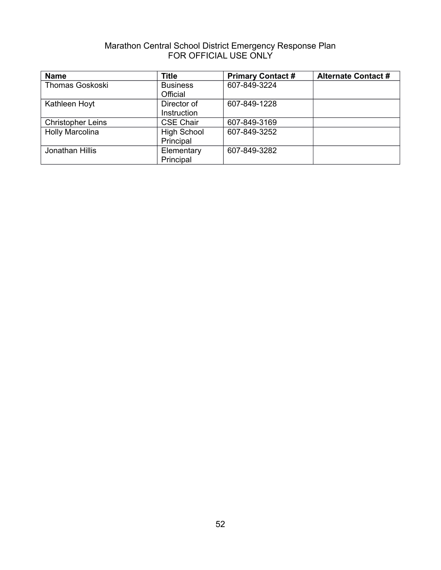| <b>Name</b>              | <b>Title</b>       | <b>Primary Contact#</b> | <b>Alternate Contact #</b> |
|--------------------------|--------------------|-------------------------|----------------------------|
| <b>Thomas Goskoski</b>   | <b>Business</b>    | 607-849-3224            |                            |
|                          | Official           |                         |                            |
| Kathleen Hoyt            | Director of        | 607-849-1228            |                            |
|                          | Instruction        |                         |                            |
| <b>Christopher Leins</b> | <b>CSE Chair</b>   | 607-849-3169            |                            |
| <b>Holly Marcolina</b>   | <b>High School</b> | 607-849-3252            |                            |
|                          | Principal          |                         |                            |
| Jonathan Hillis          | Elementary         | 607-849-3282            |                            |
|                          | Principal          |                         |                            |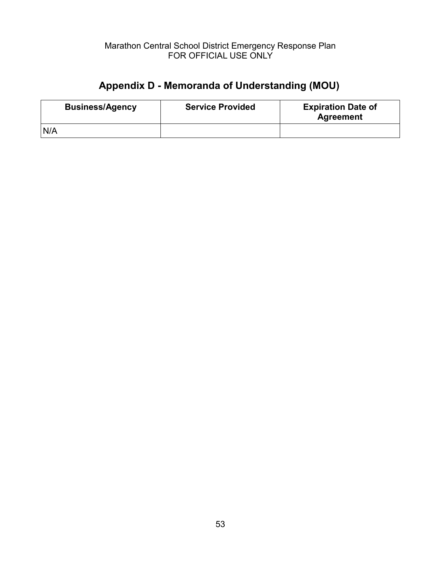## <span id="page-52-0"></span>**Appendix D - Memoranda of Understanding (MOU)**

| <b>Business/Agency</b> | <b>Service Provided</b> | <b>Expiration Date of</b><br><b>Agreement</b> |
|------------------------|-------------------------|-----------------------------------------------|
| N/A                    |                         |                                               |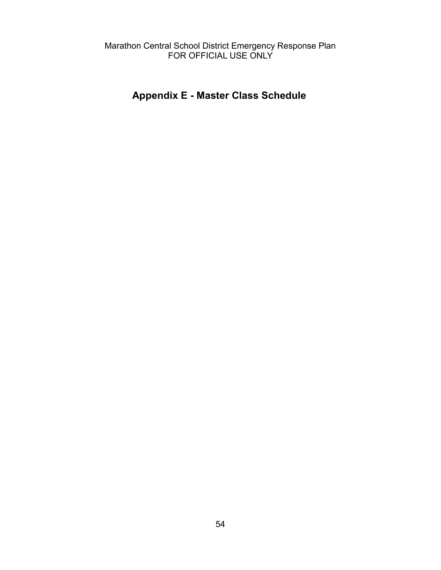### <span id="page-53-0"></span>**Appendix E - Master Class Schedule**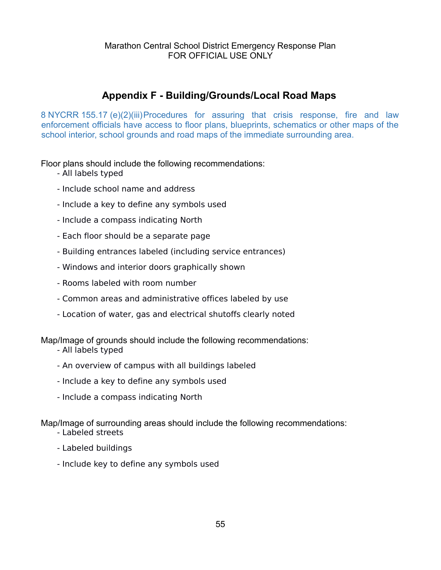### <span id="page-54-0"></span>**Appendix F - Building/Grounds/Local Road Maps**

8 NYCRR 155.17 (e)(2)(iii)Procedures for assuring that crisis response, fire and law enforcement officials have access to floor plans, blueprints, schematics or other maps of the school interior, school grounds and road maps of the immediate surrounding area.

Floor plans should include the following recommendations:

- All labels typed
- Include school name and address
- Include a key to define any symbols used
- Include a compass indicating North
- Each floor should be a separate page
- Building entrances labeled (including service entrances)
- Windows and interior doors graphically shown
- Rooms labeled with room number
- Common areas and administrative offices labeled by use
- Location of water, gas and electrical shutoffs clearly noted

Map/Image of grounds should include the following recommendations:

- All labels typed
- An overview of campus with all buildings labeled
- Include a key to define any symbols used
- Include a compass indicating North

Map/Image of surrounding areas should include the following recommendations:

- Labeled streets
- Labeled buildings
- Include key to define any symbols used